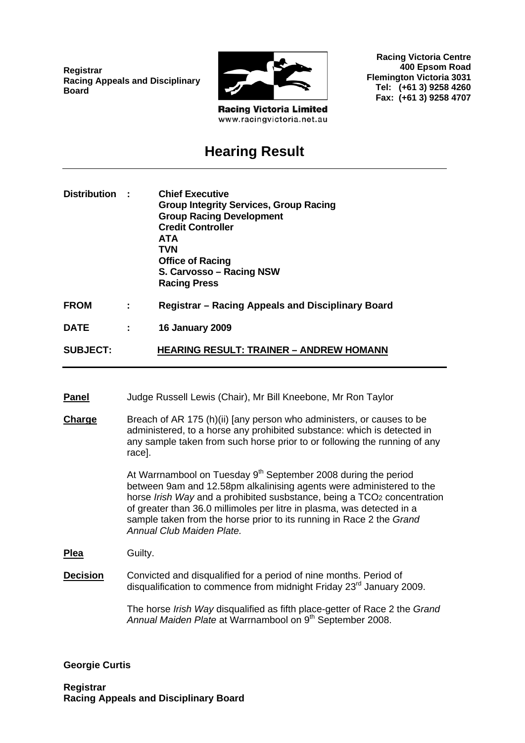**Registrar Racing Appeals and Disciplinary Board**



**Racing Victoria Limited** www.racingvictoria.net.au

**Racing Victoria Centre 400 Epsom Road Flemington Victoria 3031 Tel: (+61 3) 9258 4260 Fax: (+61 3) 9258 4707**

# **Hearing Result**

| Distribution :  |   | <b>Chief Executive</b><br><b>Group Integrity Services, Group Racing</b><br><b>Group Racing Development</b><br><b>Credit Controller</b><br>ATA<br><b>TVN</b><br><b>Office of Racing</b><br>S. Carvosso - Racing NSW<br><b>Racing Press</b> |
|-----------------|---|-------------------------------------------------------------------------------------------------------------------------------------------------------------------------------------------------------------------------------------------|
| <b>FROM</b>     |   | Registrar – Racing Appeals and Disciplinary Board                                                                                                                                                                                         |
| <b>DATE</b>     | ÷ | <b>16 January 2009</b>                                                                                                                                                                                                                    |
| <b>SUBJECT:</b> |   | <b>HEARING RESULT: TRAINER - ANDREW HOMANN</b>                                                                                                                                                                                            |

- **Panel** Judge Russell Lewis (Chair), Mr Bill Kneebone, Mr Ron Taylor
- **Charge** Breach of AR 175 (h)(ii) [any person who administers, or causes to be administered, to a horse any prohibited substance: which is detected in any sample taken from such horse prior to or following the running of any race].

At Warrnambool on Tuesday  $9<sup>th</sup>$  September 2008 during the period between 9am and 12.58pm alkalinising agents were administered to the horse *Irish Way* and a prohibited susbstance, being a TCO2 concentration of greater than 36.0 millimoles per litre in plasma, was detected in a sample taken from the horse prior to its running in Race 2 the *Grand Annual Club Maiden Plate.*

**Plea** Guilty.

**Decision** Convicted and disqualified for a period of nine months. Period of disqualification to commence from midnight Friday 23<sup>rd</sup> January 2009.

> The horse *Irish Way* disqualified as fifth place-getter of Race 2 the *Grand*  Annual Maiden Plate at Warrnambool on 9<sup>th</sup> September 2008.

#### **Georgie Curtis**

**Registrar Racing Appeals and Disciplinary Board**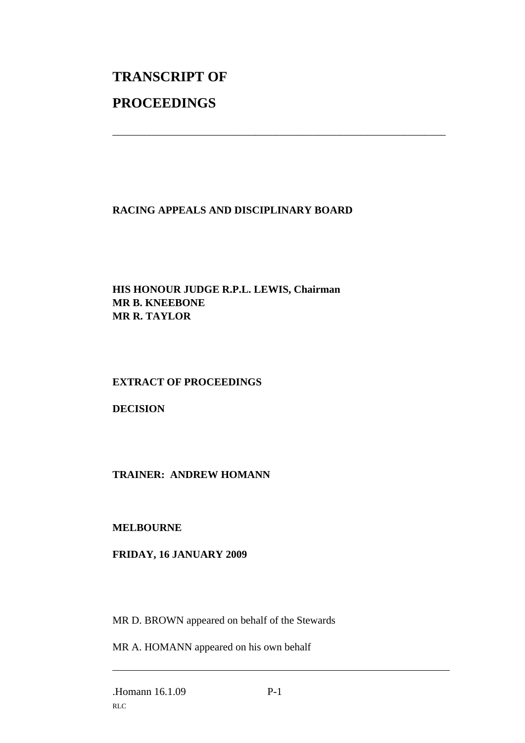# **TRANSCRIPT OF PROCEEDINGS**

## **RACING APPEALS AND DISCIPLINARY BOARD**

\_\_\_\_\_\_\_\_\_\_\_\_\_\_\_\_\_\_\_\_\_\_\_\_\_\_\_\_\_\_\_\_\_\_\_\_\_\_\_\_\_\_\_\_\_\_\_\_\_\_\_\_\_\_\_\_\_\_\_\_\_\_\_

## **HIS HONOUR JUDGE R.P.L. LEWIS, Chairman MR B. KNEEBONE MR R. TAYLOR**

## **EXTRACT OF PROCEEDINGS**

**DECISION** 

## **TRAINER: ANDREW HOMANN**

## **MELBOURNE**

## **FRIDAY, 16 JANUARY 2009**

MR D. BROWN appeared on behalf of the Stewards

MR A. HOMANN appeared on his own behalf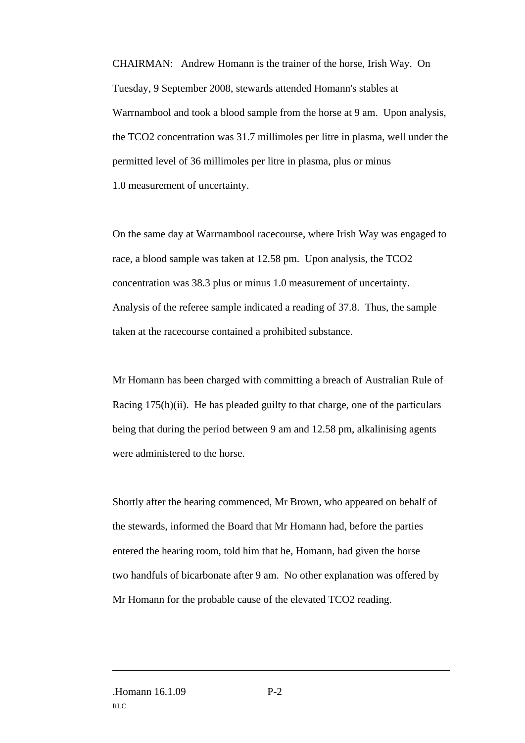CHAIRMAN: Andrew Homann is the trainer of the horse, Irish Way. On Tuesday, 9 September 2008, stewards attended Homann's stables at Warrnambool and took a blood sample from the horse at 9 am. Upon analysis, the TCO2 concentration was 31.7 millimoles per litre in plasma, well under the permitted level of 36 millimoles per litre in plasma, plus or minus 1.0 measurement of uncertainty.

On the same day at Warrnambool racecourse, where Irish Way was engaged to race, a blood sample was taken at 12.58 pm. Upon analysis, the TCO2 concentration was 38.3 plus or minus 1.0 measurement of uncertainty. Analysis of the referee sample indicated a reading of 37.8. Thus, the sample taken at the racecourse contained a prohibited substance.

Mr Homann has been charged with committing a breach of Australian Rule of Racing 175(h)(ii). He has pleaded guilty to that charge, one of the particulars being that during the period between 9 am and 12.58 pm, alkalinising agents were administered to the horse.

Shortly after the hearing commenced, Mr Brown, who appeared on behalf of the stewards, informed the Board that Mr Homann had, before the parties entered the hearing room, told him that he, Homann, had given the horse two handfuls of bicarbonate after 9 am. No other explanation was offered by Mr Homann for the probable cause of the elevated TCO2 reading.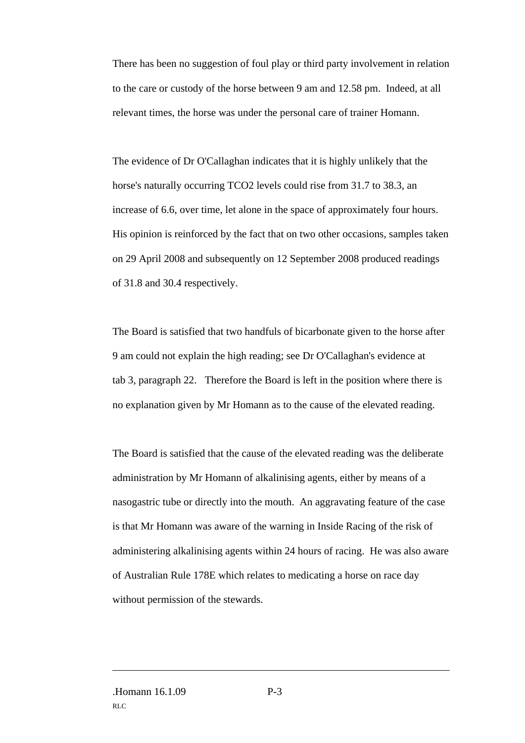There has been no suggestion of foul play or third party involvement in relation to the care or custody of the horse between 9 am and 12.58 pm. Indeed, at all relevant times, the horse was under the personal care of trainer Homann.

The evidence of Dr O'Callaghan indicates that it is highly unlikely that the horse's naturally occurring TCO2 levels could rise from 31.7 to 38.3, an increase of 6.6, over time, let alone in the space of approximately four hours. His opinion is reinforced by the fact that on two other occasions, samples taken on 29 April 2008 and subsequently on 12 September 2008 produced readings of 31.8 and 30.4 respectively.

The Board is satisfied that two handfuls of bicarbonate given to the horse after 9 am could not explain the high reading; see Dr O'Callaghan's evidence at tab 3, paragraph 22. Therefore the Board is left in the position where there is no explanation given by Mr Homann as to the cause of the elevated reading.

The Board is satisfied that the cause of the elevated reading was the deliberate administration by Mr Homann of alkalinising agents, either by means of a nasogastric tube or directly into the mouth. An aggravating feature of the case is that Mr Homann was aware of the warning in Inside Racing of the risk of administering alkalinising agents within 24 hours of racing. He was also aware of Australian Rule 178E which relates to medicating a horse on race day without permission of the stewards.